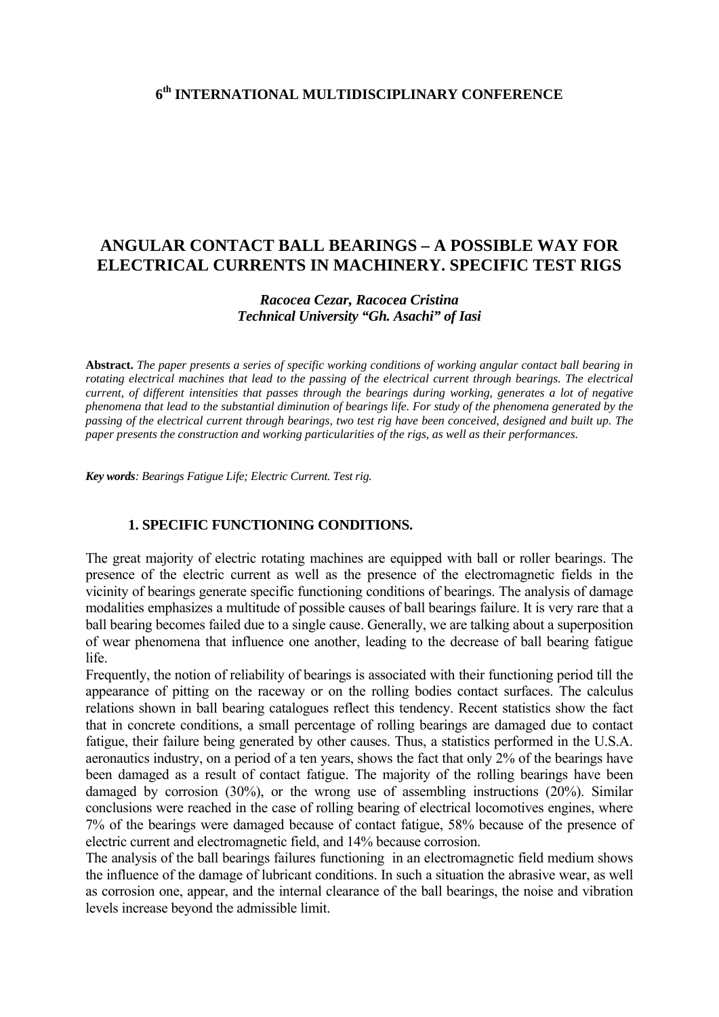### **6th INTERNATIONAL MULTIDISCIPLINARY CONFERENCE**

# **ANGULAR CONTACT BALL BEARINGS – A POSSIBLE WAY FOR ELECTRICAL CURRENTS IN MACHINERY. SPECIFIC TEST RIGS**

## *Racocea Cezar, Racocea Cristina Technical University "Gh. Asachi" of Iasi*

**Abstract.** *The paper presents a series of specific working conditions of working angular contact ball bearing in rotating electrical machines that lead to the passing of the electrical current through bearings. The electrical current, of different intensities that passes through the bearings during working, generates a lot of negative phenomena that lead to the substantial diminution of bearings life. For study of the phenomena generated by the passing of the electrical current through bearings, two test rig have been conceived, designed and built up. The paper presents the construction and working particularities of the rigs, as well as their performances.* 

*Key words: Bearings Fatigue Life; Electric Current. Test rig.* 

#### **1. SPECIFIC FUNCTIONING CONDITIONS.**

The great majority of electric rotating machines are equipped with ball or roller bearings. The presence of the electric current as well as the presence of the electromagnetic fields in the vicinity of bearings generate specific functioning conditions of bearings. The analysis of damage modalities emphasizes a multitude of possible causes of ball bearings failure. It is very rare that a ball bearing becomes failed due to a single cause. Generally, we are talking about a superposition of wear phenomena that influence one another, leading to the decrease of ball bearing fatigue life.

Frequently, the notion of reliability of bearings is associated with their functioning period till the appearance of pitting on the raceway or on the rolling bodies contact surfaces. The calculus relations shown in ball bearing catalogues reflect this tendency. Recent statistics show the fact that in concrete conditions, a small percentage of rolling bearings are damaged due to contact fatigue, their failure being generated by other causes. Thus, a statistics performed in the U.S.A. aeronautics industry, on a period of a ten years, shows the fact that only 2% of the bearings have been damaged as a result of contact fatigue. The majority of the rolling bearings have been damaged by corrosion (30%), or the wrong use of assembling instructions (20%). Similar conclusions were reached in the case of rolling bearing of electrical locomotives engines, where 7% of the bearings were damaged because of contact fatigue, 58% because of the presence of electric current and electromagnetic field, and 14% because corrosion.

The analysis of the ball bearings failures functioning in an electromagnetic field medium shows the influence of the damage of lubricant conditions. In such a situation the abrasive wear, as well as corrosion one, appear, and the internal clearance of the ball bearings, the noise and vibration levels increase beyond the admissible limit.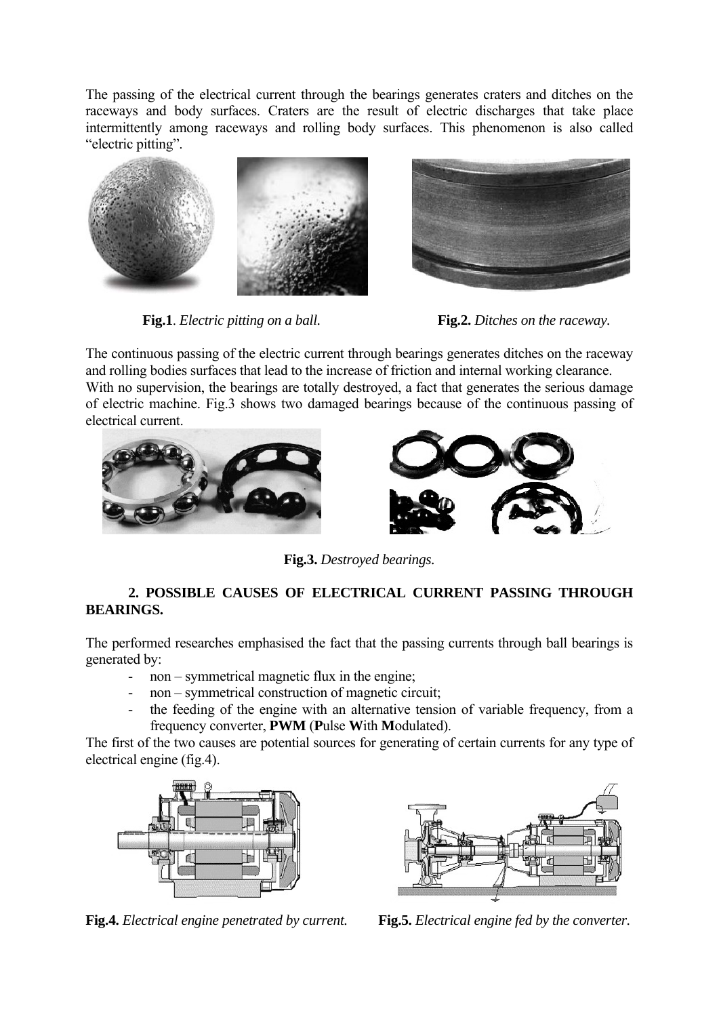The passing of the electrical current through the bearings generates craters and ditches on the raceways and body surfaces. Craters are the result of electric discharges that take place intermittently among raceways and rolling body surfaces. This phenomenon is also called "electric pitting".



**Fig.1**. *Electric pitting on a ball.* **Fig.2.** *Ditches on the raceway.* 



The continuous passing of the electric current through bearings generates ditches on the raceway and rolling bodies surfaces that lead to the increase of friction and internal working clearance. With no supervision, the bearings are totally destroyed, a fact that generates the serious damage of electric machine. Fig.3 shows two damaged bearings because of the continuous passing of electrical current.





**Fig.3.** *Destroyed bearings.* 

# **2. POSSIBLE CAUSES OF ELECTRICAL CURRENT PASSING THROUGH BEARINGS.**

The performed researches emphasised the fact that the passing currents through ball bearings is generated by:

- non symmetrical magnetic flux in the engine;
- non symmetrical construction of magnetic circuit;
- the feeding of the engine with an alternative tension of variable frequency, from a frequency converter, **PWM** (**P**ulse **W**ith **M**odulated).

The first of the two causes are potential sources for generating of certain currents for any type of electrical engine (fig.4).



**Fig.4.** *Electrical engine penetrated by current.* **Fig.5.** *Electrical engine fed by the converter.*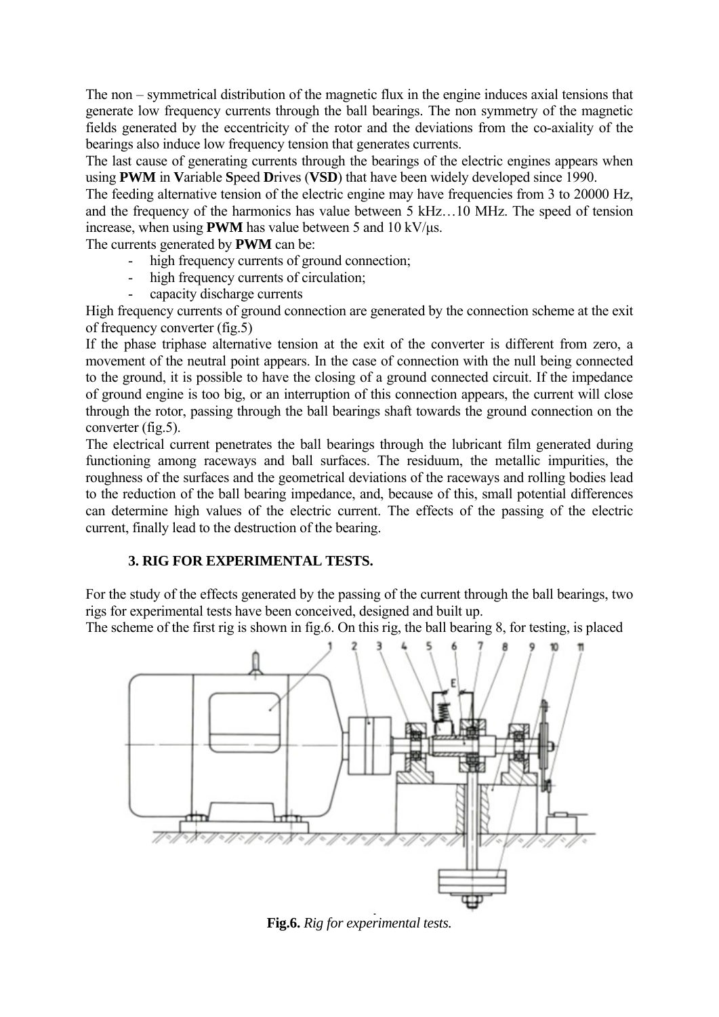The non – symmetrical distribution of the magnetic flux in the engine induces axial tensions that generate low frequency currents through the ball bearings. The non symmetry of the magnetic fields generated by the eccentricity of the rotor and the deviations from the co-axiality of the bearings also induce low frequency tension that generates currents.

The last cause of generating currents through the bearings of the electric engines appears when using **PWM** in **V**ariable **S**peed **D**rives (**VSD**) that have been widely developed since 1990.

The feeding alternative tension of the electric engine may have frequencies from 3 to 20000 Hz, and the frequency of the harmonics has value between 5 kHz…10 MHz. The speed of tension increase, when using **PWM** has value between 5 and 10 kV/μs.

The currents generated by **PWM** can be:

- high frequency currents of ground connection;
- high frequency currents of circulation;
	- capacity discharge currents

High frequency currents of ground connection are generated by the connection scheme at the exit of frequency converter (fig.5)

If the phase triphase alternative tension at the exit of the converter is different from zero, a movement of the neutral point appears. In the case of connection with the null being connected to the ground, it is possible to have the closing of a ground connected circuit. If the impedance of ground engine is too big, or an interruption of this connection appears, the current will close through the rotor, passing through the ball bearings shaft towards the ground connection on the converter (fig.5).

The electrical current penetrates the ball bearings through the lubricant film generated during functioning among raceways and ball surfaces. The residuum, the metallic impurities, the roughness of the surfaces and the geometrical deviations of the raceways and rolling bodies lead to the reduction of the ball bearing impedance, and, because of this, small potential differences can determine high values of the electric current. The effects of the passing of the electric current, finally lead to the destruction of the bearing.

# **3. RIG FOR EXPERIMENTAL TESTS.**

For the study of the effects generated by the passing of the current through the ball bearings, two rigs for experimental tests have been conceived, designed and built up.

The scheme of the first rig is shown in fig.6. On this rig, the ball bearing 8, for testing, is placed



**Fig.6.** *Rig for experimental tests.*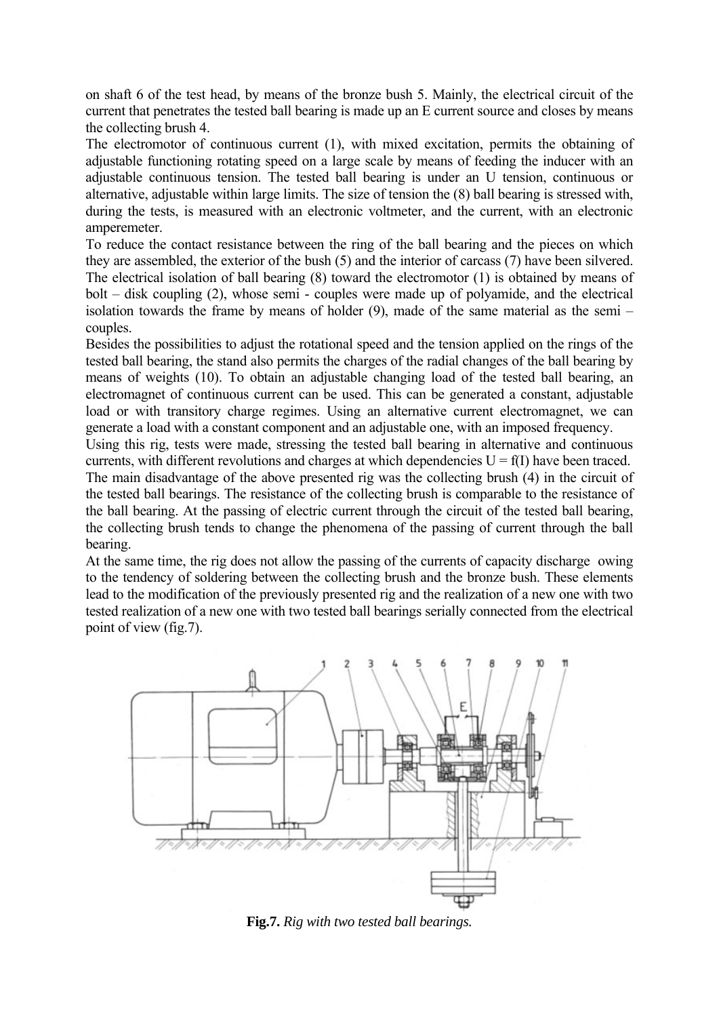on shaft 6 of the test head, by means of the bronze bush 5. Mainly, the electrical circuit of the current that penetrates the tested ball bearing is made up an E current source and closes by means the collecting brush 4.

The electromotor of continuous current (1), with mixed excitation, permits the obtaining of adjustable functioning rotating speed on a large scale by means of feeding the inducer with an adjustable continuous tension. The tested ball bearing is under an U tension, continuous or alternative, adjustable within large limits. The size of tension the (8) ball bearing is stressed with, during the tests, is measured with an electronic voltmeter, and the current, with an electronic amperemeter.

To reduce the contact resistance between the ring of the ball bearing and the pieces on which they are assembled, the exterior of the bush (5) and the interior of carcass (7) have been silvered. The electrical isolation of ball bearing (8) toward the electromotor (1) is obtained by means of bolt – disk coupling (2), whose semi - couples were made up of polyamide, and the electrical isolation towards the frame by means of holder (9), made of the same material as the semi – couples.

Besides the possibilities to adjust the rotational speed and the tension applied on the rings of the tested ball bearing, the stand also permits the charges of the radial changes of the ball bearing by means of weights (10). To obtain an adjustable changing load of the tested ball bearing, an electromagnet of continuous current can be used. This can be generated a constant, adjustable load or with transitory charge regimes. Using an alternative current electromagnet, we can generate a load with a constant component and an adjustable one, with an imposed frequency.

Using this rig, tests were made, stressing the tested ball bearing in alternative and continuous currents, with different revolutions and charges at which dependencies  $U = f(I)$  have been traced. The main disadvantage of the above presented rig was the collecting brush (4) in the circuit of the tested ball bearings. The resistance of the collecting brush is comparable to the resistance of the ball bearing. At the passing of electric current through the circuit of the tested ball bearing, the collecting brush tends to change the phenomena of the passing of current through the ball bearing.

At the same time, the rig does not allow the passing of the currents of capacity discharge owing to the tendency of soldering between the collecting brush and the bronze bush. These elements lead to the modification of the previously presented rig and the realization of a new one with two tested realization of a new one with two tested ball bearings serially connected from the electrical point of view (fig.7).



**Fig.7.** *Rig with two tested ball bearings.*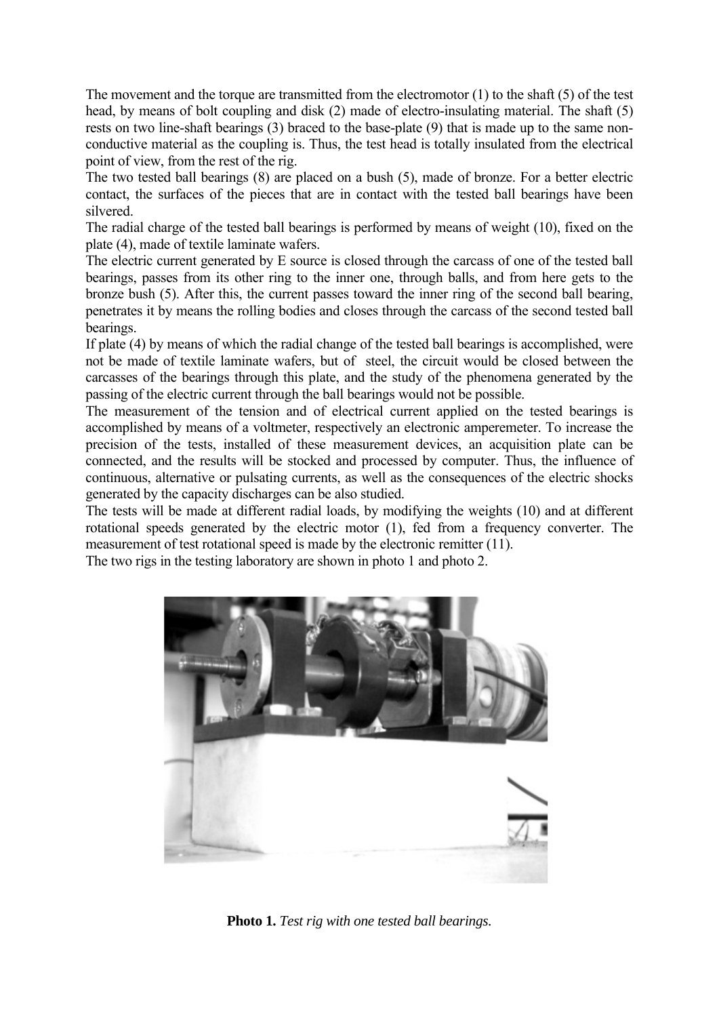The movement and the torque are transmitted from the electromotor (1) to the shaft (5) of the test head, by means of bolt coupling and disk (2) made of electro-insulating material. The shaft (5) rests on two line-shaft bearings (3) braced to the base-plate (9) that is made up to the same nonconductive material as the coupling is. Thus, the test head is totally insulated from the electrical point of view, from the rest of the rig.

The two tested ball bearings (8) are placed on a bush (5), made of bronze. For a better electric contact, the surfaces of the pieces that are in contact with the tested ball bearings have been silvered.

The radial charge of the tested ball bearings is performed by means of weight (10), fixed on the plate (4), made of textile laminate wafers.

The electric current generated by E source is closed through the carcass of one of the tested ball bearings, passes from its other ring to the inner one, through balls, and from here gets to the bronze bush (5). After this, the current passes toward the inner ring of the second ball bearing, penetrates it by means the rolling bodies and closes through the carcass of the second tested ball bearings.

If plate (4) by means of which the radial change of the tested ball bearings is accomplished, were not be made of textile laminate wafers, but of steel, the circuit would be closed between the carcasses of the bearings through this plate, and the study of the phenomena generated by the passing of the electric current through the ball bearings would not be possible.

The measurement of the tension and of electrical current applied on the tested bearings is accomplished by means of a voltmeter, respectively an electronic amperemeter. To increase the precision of the tests, installed of these measurement devices, an acquisition plate can be connected, and the results will be stocked and processed by computer. Thus, the influence of continuous, alternative or pulsating currents, as well as the consequences of the electric shocks generated by the capacity discharges can be also studied.

The tests will be made at different radial loads, by modifying the weights (10) and at different rotational speeds generated by the electric motor (1), fed from a frequency converter. The measurement of test rotational speed is made by the electronic remitter (11).

The two rigs in the testing laboratory are shown in photo 1 and photo 2.



**Photo 1.** *Test rig with one tested ball bearings.*